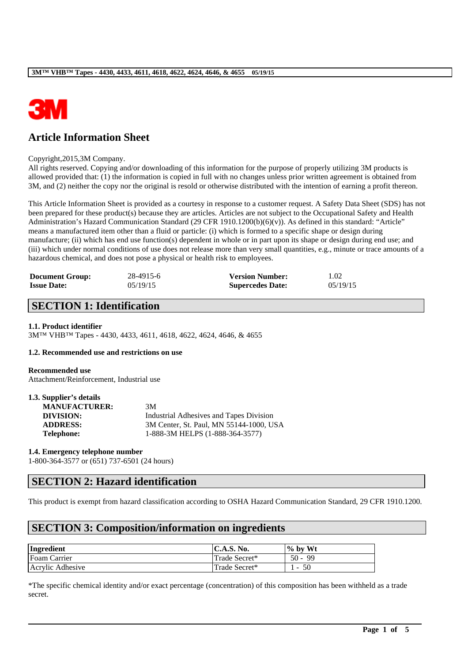

# **Article Information Sheet**

#### Copyright,2015,3M Company.

All rights reserved. Copying and/or downloading of this information for the purpose of properly utilizing 3M products is allowed provided that: (1) the information is copied in full with no changes unless prior written agreement is obtained from 3M, and (2) neither the copy nor the original is resold or otherwise distributed with the intention of earning a profit thereon.

This Article Information Sheet is provided as a courtesy in response to a customer request. A Safety Data Sheet (SDS) has not been prepared for these product(s) because they are articles. Articles are not subject to the Occupational Safety and Health Administration's Hazard Communication Standard (29 CFR 1910.1200(b)(6)(v)). As defined in this standard: "Article" means a manufactured item other than a fluid or particle: (i) which is formed to a specific shape or design during manufacture; (ii) which has end use function(s) dependent in whole or in part upon its shape or design during end use; and (iii) which under normal conditions of use does not release more than very small quantities, e.g., minute or trace amounts of a hazardous chemical, and does not pose a physical or health risk to employees.

| <b>Document Group:</b> | 28-4915-6 | <b>Version Number:</b>  | 1.02     |
|------------------------|-----------|-------------------------|----------|
| <b>Issue Date:</b>     | 05/19/15  | <b>Supercedes Date:</b> | 05/19/15 |

### **SECTION 1: Identification**

### **1.1. Product identifier**

3M™ VHB™ Tapes - 4430, 4433, 4611, 4618, 4622, 4624, 4646, & 4655

#### **1.2. Recommended use and restrictions on use**

#### **Recommended use**

Attachment/Reinforcement, Industrial use

| 1.3. Supplier's details |                                         |
|-------------------------|-----------------------------------------|
| <b>MANUFACTURER:</b>    | 3M                                      |
| DIVISION:               | Industrial Adhesives and Tapes Division |
| <b>ADDRESS:</b>         | 3M Center, St. Paul, MN 55144-1000, USA |
| <b>Telephone:</b>       | 1-888-3M HELPS (1-888-364-3577)         |

#### **1.4. Emergency telephone number**

1-800-364-3577 or (651) 737-6501 (24 hours)

### **SECTION 2: Hazard identification**

This product is exempt from hazard classification according to OSHA Hazard Communication Standard, 29 CFR 1910.1200.

### **SECTION 3: Composition/information on ingredients**

| Ingredient       | $\mathsf{IC.A.S.}\$ No. | $\%$ by Wt |
|------------------|-------------------------|------------|
| Foam Carrier     | Trade Secret*           | $50 - 99$  |
| Acrylic Adhesive | Trade Secret*           | $-50$      |

\*The specific chemical identity and/or exact percentage (concentration) of this composition has been withheld as a trade secret.

\_\_\_\_\_\_\_\_\_\_\_\_\_\_\_\_\_\_\_\_\_\_\_\_\_\_\_\_\_\_\_\_\_\_\_\_\_\_\_\_\_\_\_\_\_\_\_\_\_\_\_\_\_\_\_\_\_\_\_\_\_\_\_\_\_\_\_\_\_\_\_\_\_\_\_\_\_\_\_\_\_\_\_\_\_\_\_\_\_\_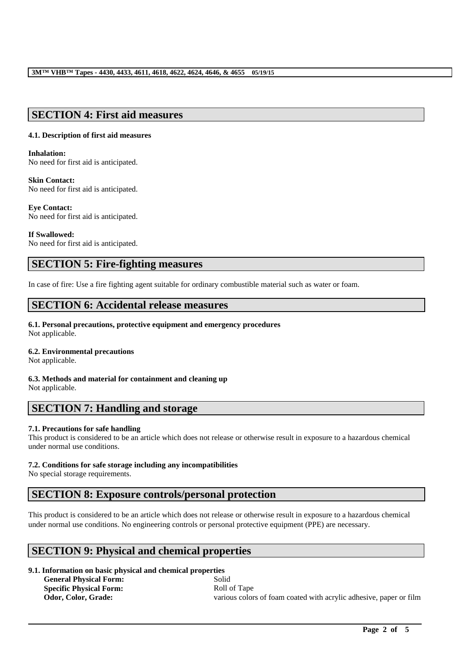### **SECTION 4: First aid measures**

### **4.1. Description of first aid measures**

**Inhalation:**  No need for first aid is anticipated.

### **Skin Contact:**

No need for first aid is anticipated.

### **Eye Contact:**

No need for first aid is anticipated.

### **If Swallowed:**

No need for first aid is anticipated.

### **SECTION 5: Fire-fighting measures**

In case of fire: Use a fire fighting agent suitable for ordinary combustible material such as water or foam.

## **SECTION 6: Accidental release measures**

### **6.1. Personal precautions, protective equipment and emergency procedures**

Not applicable.

### **6.2. Environmental precautions**

Not applicable.

**6.3. Methods and material for containment and cleaning up** Not applicable.

### **SECTION 7: Handling and storage**

### **7.1. Precautions for safe handling**

This product is considered to be an article which does not release or otherwise result in exposure to a hazardous chemical under normal use conditions.

### **7.2. Conditions for safe storage including any incompatibilities**

No special storage requirements.

### **SECTION 8: Exposure controls/personal protection**

This product is considered to be an article which does not release or otherwise result in exposure to a hazardous chemical under normal use conditions. No engineering controls or personal protective equipment (PPE) are necessary.

\_\_\_\_\_\_\_\_\_\_\_\_\_\_\_\_\_\_\_\_\_\_\_\_\_\_\_\_\_\_\_\_\_\_\_\_\_\_\_\_\_\_\_\_\_\_\_\_\_\_\_\_\_\_\_\_\_\_\_\_\_\_\_\_\_\_\_\_\_\_\_\_\_\_\_\_\_\_\_\_\_\_\_\_\_\_\_\_\_\_

## **SECTION 9: Physical and chemical properties**

### **9.1. Information on basic physical and chemical properties**

**General Physical Form:** Solid **Specific Physical Form:** Roll of Tape

**Odor, Color, Grade:** various colors of foam coated with acrylic adhesive, paper or film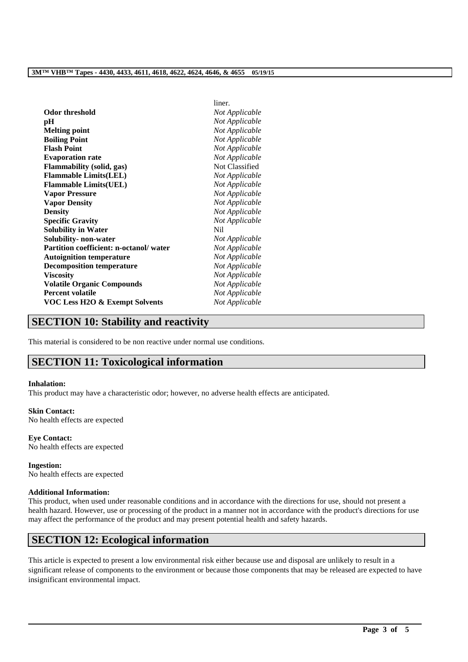|                                           | liner.         |
|-------------------------------------------|----------------|
| Odor threshold                            | Not Applicable |
| pH                                        | Not Applicable |
| <b>Melting point</b>                      | Not Applicable |
| <b>Boiling Point</b>                      | Not Applicable |
| <b>Flash Point</b>                        | Not Applicable |
| <b>Evaporation rate</b>                   | Not Applicable |
| <b>Flammability (solid, gas)</b>          | Not Classified |
| <b>Flammable Limits(LEL)</b>              | Not Applicable |
| <b>Flammable Limits(UEL)</b>              | Not Applicable |
| <b>Vapor Pressure</b>                     | Not Applicable |
| <b>Vapor Density</b>                      | Not Applicable |
| <b>Density</b>                            | Not Applicable |
| <b>Specific Gravity</b>                   | Not Applicable |
| <b>Solubility in Water</b>                | N <sub>i</sub> |
| Solubility- non-water                     | Not Applicable |
| Partition coefficient: n-octanol/water    | Not Applicable |
| <b>Autoignition temperature</b>           | Not Applicable |
| <b>Decomposition temperature</b>          | Not Applicable |
| <b>Viscosity</b>                          | Not Applicable |
| <b>Volatile Organic Compounds</b>         | Not Applicable |
| <b>Percent volatile</b>                   | Not Applicable |
| <b>VOC Less H2O &amp; Exempt Solvents</b> | Not Applicable |
|                                           |                |

### **SECTION 10: Stability and reactivity**

This material is considered to be non reactive under normal use conditions.

## **SECTION 11: Toxicological information**

### **Inhalation:**

This product may have a characteristic odor; however, no adverse health effects are anticipated.

#### **Skin Contact:**

No health effects are expected

### **Eye Contact:**

No health effects are expected

#### **Ingestion:** No health effects are expected

### **Additional Information:**

This product, when used under reasonable conditions and in accordance with the directions for use, should not present a health hazard. However, use or processing of the product in a manner not in accordance with the product's directions for use may affect the performance of the product and may present potential health and safety hazards.

## **SECTION 12: Ecological information**

This article is expected to present a low environmental risk either because use and disposal are unlikely to result in a significant release of components to the environment or because those components that may be released are expected to have insignificant environmental impact.

\_\_\_\_\_\_\_\_\_\_\_\_\_\_\_\_\_\_\_\_\_\_\_\_\_\_\_\_\_\_\_\_\_\_\_\_\_\_\_\_\_\_\_\_\_\_\_\_\_\_\_\_\_\_\_\_\_\_\_\_\_\_\_\_\_\_\_\_\_\_\_\_\_\_\_\_\_\_\_\_\_\_\_\_\_\_\_\_\_\_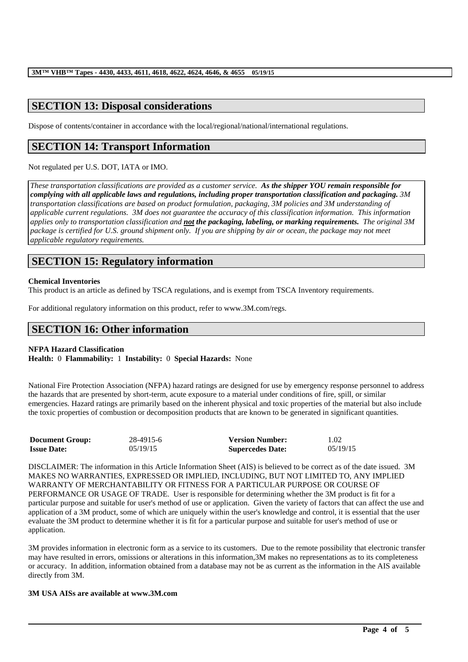# **SECTION 13: Disposal considerations**

Dispose of contents/container in accordance with the local/regional/national/international regulations.

# **SECTION 14: Transport Information**

Not regulated per U.S. DOT, IATA or IMO.

*These transportation classifications are provided as a customer service. As the shipper YOU remain responsible for complying with all applicable laws and regulations, including proper transportation classification and packaging. 3M transportation classifications are based on product formulation, packaging, 3M policies and 3M understanding of applicable current regulations. 3M does not guarantee the accuracy of this classification information. This information applies only to transportation classification and not the packaging, labeling, or marking requirements. The original 3M package is certified for U.S. ground shipment only. If you are shipping by air or ocean, the package may not meet applicable regulatory requirements.* 

# **SECTION 15: Regulatory information**

### **Chemical Inventories**

This product is an article as defined by TSCA regulations, and is exempt from TSCA Inventory requirements.

For additional regulatory information on this product, refer to www.3M.com/regs.

# **SECTION 16: Other information**

### **NFPA Hazard Classification**

**Health:** 0 **Flammability:** 1 **Instability:** 0 **Special Hazards:** None

National Fire Protection Association (NFPA) hazard ratings are designed for use by emergency response personnel to address the hazards that are presented by short-term, acute exposure to a material under conditions of fire, spill, or similar emergencies. Hazard ratings are primarily based on the inherent physical and toxic properties of the material but also include the toxic properties of combustion or decomposition products that are known to be generated in significant quantities.

| <b>Document Group:</b> | 28-4915-6 | <b>Version Number:</b>  | 1.02     |
|------------------------|-----------|-------------------------|----------|
| <b>Issue Date:</b>     | 05/19/15  | <b>Supercedes Date:</b> | 05/19/15 |

DISCLAIMER: The information in this Article Information Sheet (AIS) is believed to be correct as of the date issued. 3M MAKES NO WARRANTIES, EXPRESSED OR IMPLIED, INCLUDING, BUT NOT LIMITED TO, ANY IMPLIED WARRANTY OF MERCHANTABILITY OR FITNESS FOR A PARTICULAR PURPOSE OR COURSE OF PERFORMANCE OR USAGE OF TRADE. User is responsible for determining whether the 3M product is fit for a particular purpose and suitable for user's method of use or application. Given the variety of factors that can affect the use and application of a 3M product, some of which are uniquely within the user's knowledge and control, it is essential that the user evaluate the 3M product to determine whether it is fit for a particular purpose and suitable for user's method of use or application.

3M provides information in electronic form as a service to its customers. Due to the remote possibility that electronic transfer may have resulted in errors, omissions or alterations in this information,3M makes no representations as to its completeness or accuracy. In addition, information obtained from a database may not be as current as the information in the AIS available directly from 3M.

\_\_\_\_\_\_\_\_\_\_\_\_\_\_\_\_\_\_\_\_\_\_\_\_\_\_\_\_\_\_\_\_\_\_\_\_\_\_\_\_\_\_\_\_\_\_\_\_\_\_\_\_\_\_\_\_\_\_\_\_\_\_\_\_\_\_\_\_\_\_\_\_\_\_\_\_\_\_\_\_\_\_\_\_\_\_\_\_\_\_

### **3M USA AISs are available at www.3M.com**